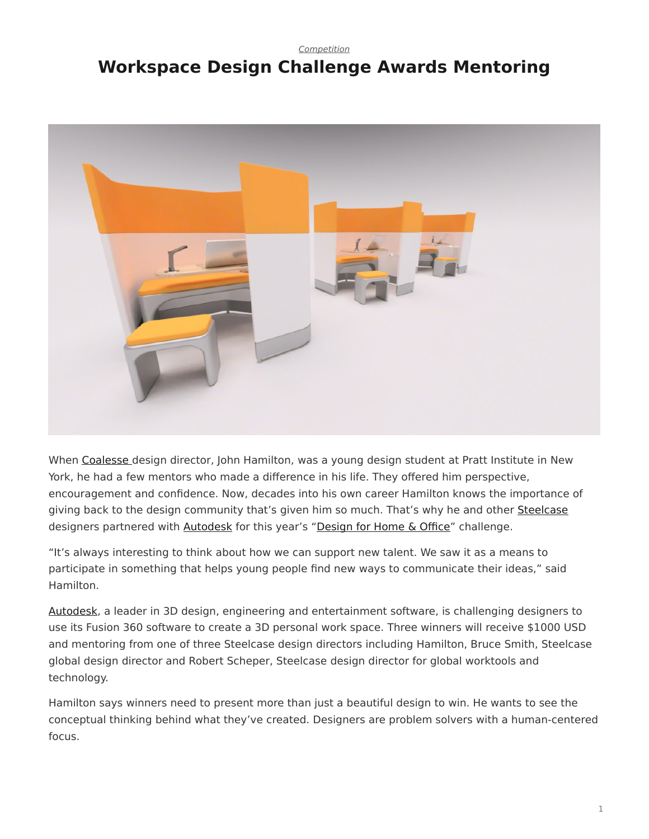## <span id="page-0-0"></span>*[Competition](https://www.steelcase.com/research/topics/competition/)* **Workspace Design Challenge Awards Mentoring**



When [Coalesse](http://www.coalesse.com/) design director, John Hamilton, was a young design student at Pratt Institute in New York, he had a few mentors who made a difference in his life. They offered him perspective, encouragement and confidence. Now, decades into his own career Hamilton knows the importance of giving back to the design community that's given him so much. That's why he and other [Steelcase](http://www.steelcase.com/) designers partnered with [Autodesk](http://www.autodesk.com/) for this year's "[Design for Home & Office"](http://bit.ly/2ecTVAx) challenge.

"It's always interesting to think about how we can support new talent. We saw it as a means to participate in something that helps young people find new ways to communicate their ideas," said Hamilton.

[Autodesk,](http://www.autodesk.com/) a leader in 3D design, engineering and entertainment software, is challenging designers to use its Fusion 360 software to create a 3D personal work space. Three winners will receive \$1000 USD and mentoring from one of three Steelcase design directors including Hamilton, Bruce Smith, Steelcase global design director and Robert Scheper, Steelcase design director for global worktools and technology.

Hamilton says winners need to present more than just a beautiful design to win. He wants to see the conceptual thinking behind what they've created. Designers are problem solvers with a human-centered focus.